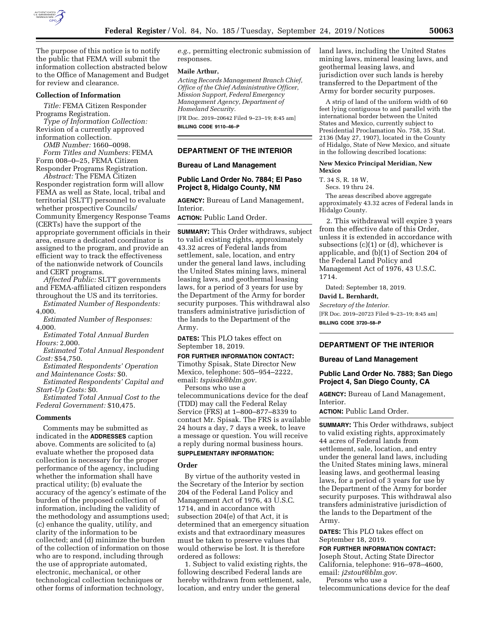

The purpose of this notice is to notify the public that FEMA will submit the information collection abstracted below to the Office of Management and Budget for review and clearance.

## **Collection of Information**

*Title:* FEMA Citizen Responder Programs Registration.

*Type of Information Collection:*  Revision of a currently approved information collection.

*OMB Number:* 1660–0098. *Form Titles and Numbers:* FEMA Form 008–0–25, FEMA Citizen Responder Programs Registration.

*Abstract:* The FEMA Citizen Responder registration form will allow FEMA as well as State, local, tribal and territorial (SLTT) personnel to evaluate whether prospective Councils/ Community Emergency Response Teams (CERTs) have the support of the appropriate government officials in their area, ensure a dedicated coordinator is assigned to the program, and provide an efficient way to track the effectiveness of the nationwide network of Councils and CERT programs.

*Affected Public:* SLTT governments and FEMA-affiliated citizen responders throughout the US and its territories.

*Estimated Number of Respondents:*  4,000.

*Estimated Number of Responses:*  4,000.

*Estimated Total Annual Burden Hours:* 2,000.

*Estimated Total Annual Respondent Cost:* \$54,750.

*Estimated Respondents' Operation and Maintenance Costs:* \$0.

*Estimated Respondents' Capital and Start-Up Costs:* \$0.

*Estimated Total Annual Cost to the Federal Government:* \$10,475.

#### **Comments**

Comments may be submitted as indicated in the **ADDRESSES** caption above. Comments are solicited to (a) evaluate whether the proposed data collection is necessary for the proper performance of the agency, including whether the information shall have practical utility; (b) evaluate the accuracy of the agency's estimate of the burden of the proposed collection of information, including the validity of the methodology and assumptions used; (c) enhance the quality, utility, and clarity of the information to be collected; and (d) minimize the burden of the collection of information on those who are to respond, including through the use of appropriate automated, electronic, mechanical, or other technological collection techniques or other forms of information technology,

*e.g.,* permitting electronic submission of responses.

#### **Maile Arthur,**

*Acting Records Management Branch Chief, Office of the Chief Administrative Officer, Mission Support, Federal Emergency Management Agency, Department of Homeland Security.* 

[FR Doc. 2019–20642 Filed 9–23–19; 8:45 am]

**BILLING CODE 9110–46–P** 

### **DEPARTMENT OF THE INTERIOR**

## **Bureau of Land Management**

# **Public Land Order No. 7884; El Paso Project 8, Hidalgo County, NM**

**AGENCY:** Bureau of Land Management, Interior.

**ACTION:** Public Land Order.

**SUMMARY:** This Order withdraws, subject to valid existing rights, approximately 43.32 acres of Federal lands from settlement, sale, location, and entry under the general land laws, including the United States mining laws, mineral leasing laws, and geothermal leasing laws, for a period of 3 years for use by the Department of the Army for border security purposes. This withdrawal also transfers administrative jurisdiction of the lands to the Department of the Army.

**DATES:** This PLO takes effect on September 18, 2019.

### **FOR FURTHER INFORMATION CONTACT:**

Timothy Spisak, State Director New Mexico, telephone: 505–954–2222, email: *[tspisak@blm.gov.](mailto:tspisak@blm.gov)*  Persons who use a

telecommunications device for the deaf (TDD) may call the Federal Relay Service (FRS) at 1–800–877–8339 to contact Mr. Spisak. The FRS is available 24 hours a day, 7 days a week, to leave a message or question. You will receive a reply during normal business hours.

# **SUPPLEMENTARY INFORMATION:**

### **Order**

By virtue of the authority vested in the Secretary of the Interior by section 204 of the Federal Land Policy and Management Act of 1976, 43 U.S.C. 1714, and in accordance with subsection 204(e) of that Act, it is determined that an emergency situation exists and that extraordinary measures must be taken to preserve values that would otherwise be lost. It is therefore ordered as follows:

1. Subject to valid existing rights, the following described Federal lands are hereby withdrawn from settlement, sale, location, and entry under the general

land laws, including the United States mining laws, mineral leasing laws, and geothermal leasing laws, and jurisdiction over such lands is hereby transferred to the Department of the Army for border security purposes.

A strip of land of the uniform width of 60 feet lying contiguous to and parallel with the international border between the United States and Mexico, currently subject to Presidential Proclamation No. 758, 35 Stat. 2136 (May 27, 1907), located in the County of Hidalgo, State of New Mexico, and situate in the following described locations:

#### **New Mexico Principal Meridian, New Mexico**

T. 34 S, R. 18 W,

Secs. 19 thru 24.

The areas described above aggregate approximately 43.32 acres of Federal lands in Hidalgo County.

2. This withdrawal will expire 3 years from the effective date of this Order, unless it is extended in accordance with subsections (c)(1) or (d), whichever is applicable, and (b)(1) of Section 204 of the Federal Land Policy and Management Act of 1976, 43 U.S.C. 1714.

Dated: September 18, 2019.

#### **David L. Bernhardt,**

*Secretary of the Interior.* 

[FR Doc. 2019–20723 Filed 9–23–19; 8:45 am] **BILLING CODE 3720–58–P** 

# **DEPARTMENT OF THE INTERIOR**

# **Bureau of Land Management**

# **Public Land Order No. 7883; San Diego Project 4, San Diego County, CA**

**AGENCY:** Bureau of Land Management, Interior.

**ACTION:** Public Land Order.

**SUMMARY:** This Order withdraws, subject to valid existing rights, approximately 44 acres of Federal lands from settlement, sale, location, and entry under the general land laws, including the United States mining laws, mineral leasing laws, and geothermal leasing laws, for a period of 3 years for use by the Department of the Army for border security purposes. This withdrawal also transfers administrative jurisdiction of the lands to the Department of the Army.

**DATES:** This PLO takes effect on September 18, 2019.

#### **FOR FURTHER INFORMATION CONTACT:**

Joseph Stout, Acting State Director California, telephone: 916–978–4600, email: *[j2stout@blm.gov.](mailto:j2stout@blm.gov)* 

Persons who use a

telecommunications device for the deaf